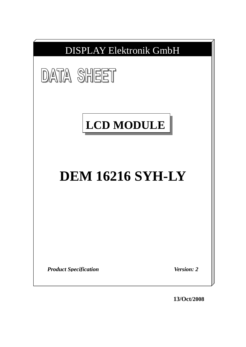

**13/Oct/2008**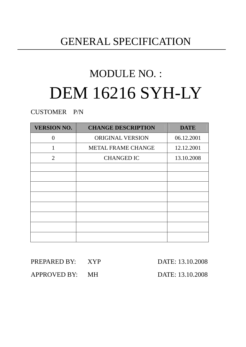## GENERAL SPECIFICATION

# MODULE NO. : DEM 16216 SYH-LY

CUSTOMER P/N

| <b>VERSION NO.</b> | <b>CHANGE DESCRIPTION</b> | <b>DATE</b> |
|--------------------|---------------------------|-------------|
| $\Omega$           | <b>ORIGINAL VERSION</b>   | 06.12.2001  |
| 1                  | <b>METAL FRAME CHANGE</b> | 12.12.2001  |
| 2                  | <b>CHANGED IC</b>         | 13.10.2008  |
|                    |                           |             |
|                    |                           |             |
|                    |                           |             |
|                    |                           |             |
|                    |                           |             |
|                    |                           |             |
|                    |                           |             |
|                    |                           |             |

| PREPARED BY: XYP | DATE: 13.10.2008 |
|------------------|------------------|
| APPROVED BY: MH  | DATE: 13.10.2008 |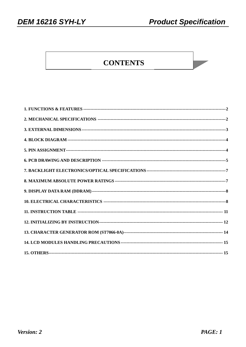### **CONTENTS**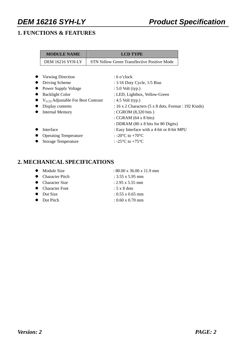### **1. FUNCTIONS & FEATURES**

| <b>MODULE NAME</b>                     | <b>LCD TYPE</b>                                                     |
|----------------------------------------|---------------------------------------------------------------------|
| DEM 16216 SYH-LY                       | STN Yellow Green Transflective Positive Mode                        |
|                                        |                                                                     |
| <b>Viewing Direction</b>               | $:6$ o'clock                                                        |
| Driving Scheme                         | : $1/16$ Duty Cycle, $1/5$ Bias                                     |
| Power Supply Voltage                   | $: 5.0$ Volt (typ.)                                                 |
| <b>Backlight Color</b>                 | : LED, Lightbox, Yellow-Green                                       |
| $V_{LCD}$ Adjustable For Best Contrast | : $4.5$ Volt (typ.)                                                 |
| Display contents                       | : 16 x 2 Characters $(5 \times 8 \text{ dots},$ Format : 192 Kinds) |
| <b>Internal Memory</b>                 | : CGROM (8,320 bits)                                                |
|                                        | : CGRAM $(64 \times 8 \text{ bits})$                                |
|                                        | : DDRAM (80 x 8 bits for 80 Digits)                                 |
| Interface                              | : Easy Interface with a 4-bit or 8-bit MPU                          |
| <b>Operating Temperature</b>           | : -20 $^{\circ}$ C to +70 $^{\circ}$ C                              |
| <b>Storage Temperature</b>             | : -25 $^{\circ}$ C to +75 $^{\circ}$ C                              |

### **2. MECHANICAL SPECIFICATIONS**

| $\bullet$ Module Size | $: 80.00 \times 36.00 \times 11.9 \text{ mm}$ |
|-----------------------|-----------------------------------------------|
| • Character Pitch     | : $3.55 \times 5.95$ mm                       |
| • Character Size      | $: 2.95 \times 5.55$ mm                       |
| • Character Font      | $: 5 \times 8$ dots                           |
| $\bullet$ Dot Size    | $: 0.55 \times 0.65$ mm                       |
| • Dot Pitch           | $: 0.60 \times 0.70$ mm                       |
|                       |                                               |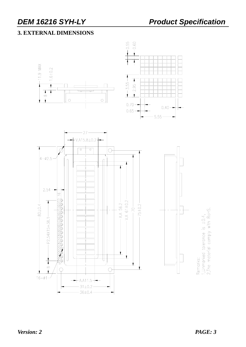### **3. EXTERNAL DIMENSIONS**





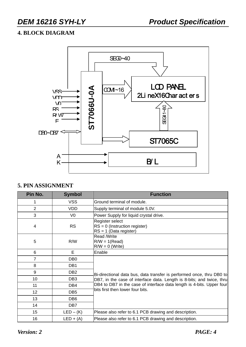### **4. BLOCK DIAGRAM**



#### **5. PIN ASSIGNMENT**

| Pin No.        | <b>Symbol</b>   | <b>Function</b>                                                                |
|----------------|-----------------|--------------------------------------------------------------------------------|
| 1              | <b>VSS</b>      | Ground terminal of module.                                                     |
| $\overline{2}$ | <b>VDD</b>      | Supply terminal of module 5.0V.                                                |
| 3              | V <sub>0</sub>  | Power Supply for liquid crystal drive.                                         |
| $\overline{4}$ | <b>RS</b>       | Register select<br>$RS = 0$ (Instruction register)<br>$RS = 1$ (Data register) |
| 5              | R/W             | Read /Write<br>$R/W = 1(Read)$<br>$R/W = 0$ (Write)                            |
| 6              | E.              | Enable                                                                         |
| $\overline{7}$ | DB <sub>0</sub> |                                                                                |
| 8              | DB <sub>1</sub> |                                                                                |
| 9              | DB <sub>2</sub> | Bi-directional data bus, data transfer is performed once, thru DB0 to          |
| 10             | DB <sub>3</sub> | DB7, in the case of interface data. Length is 8-bits; and twice, thru          |
| 11             | DB4             | DB4 to DB7 in the case of interface data length is 4-bits. Upper four          |
| 12             | DB <sub>5</sub> | bits first then lower four bits.                                               |
| 13             | DB <sub>6</sub> |                                                                                |
| 14             | DB7             |                                                                                |
| 15             | $LED - (K)$     | Please also refer to 6.1 PCB drawing and description.                          |
| 16             | $LED + (A)$     | Please also refer to 6.1 PCB drawing and description.                          |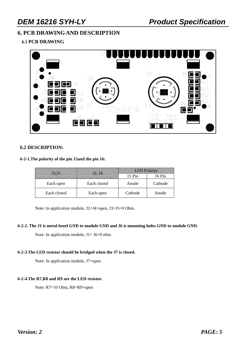#### **6. PCB DRAWING AND DESCRIPTION**

#### **6.1 PCB DRAWING**



#### **6.2 DESCRIPTION:**

#### **6-2-1.The polarity of the pin 15and the pin 16:**

| J3, J5      | J2, J4      | <b>LED</b> Polarity |         |  |  |
|-------------|-------------|---------------------|---------|--|--|
|             |             | $15 \mathrm{Pin}$   | 16 Pin  |  |  |
| Each open   | Each closed | Anode               | Cathode |  |  |
| Each closed | Each open   | Cathode             | Anode   |  |  |

Note: In application module, J2=J4=open, J3=J5=0 Ohm.

#### **6-2-2. The J1 is metal-bezel GND to module GND and J6 is mounting holes GND to module GND.**

Note: In application module,  $J1=J6=0$  ohm.

#### **6-2-3.The LED resistor should be bridged when the J7 is closed.**

Note: In application module, J7=open

#### **6-2-4.The R7,R8 and R9 are the LED resistor.**

Note: R7=10 Ohm, R8=R9=open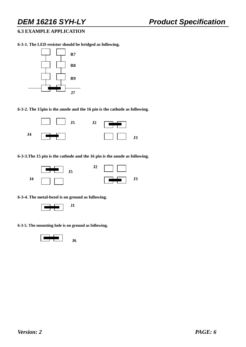#### **6.3 EXAMPLE APPLICATION**

**6-3-1. The LED resistor should be bridged as following.** 



**6-3-2. The 15pin is the anode and the 16 pin is the cathode as following.** 



**6-3-3.The 15 pin is the cathode and the 16 pin is the anode as following.** 



**6-3-4. The metal-bezel is on ground as following.** 



**6-3-5. The mounting hole is on ground as following.** 

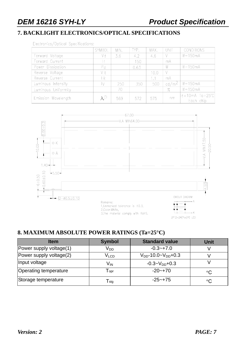### **7. BACKLIGHT ELECTRONICS/OPTICAL SPECIFICATIONS**

Electronics/Optical Specifications:

|                     | SYMBOL       | MIN. | TYP. | MAX. | UNIT              | <b>CONDITIONS</b>                         |
|---------------------|--------------|------|------|------|-------------------|-------------------------------------------|
| Forward Voltage     | V f          | 3.6  | 4.2  | 4.6  |                   | $If = 150mA$                              |
| Forward Current     | $\mathsf{f}$ |      | 150  |      | mA                |                                           |
| Power Dissipation   | $P_{d}$      |      | 0.63 |      | W                 | $If = 150mA$                              |
| Reverse Voltage     | VR           |      |      | 10.0 |                   |                                           |
| Reverse Current     | R            |      |      | 1.1  | mA                |                                           |
| Luminous Intensity  | M            | 250  | 350  | 500  | cd/m <sup>2</sup> | $If = 150mA$                              |
| Luminous Uniformity |              | 70   |      |      | $\%$              | $If = 150mA$                              |
| Emission Wavelength | $\lambda P$  | 569  | 572  | 575  | nm                | $ f = 10 \text{ mA}$ Ta=25°C<br>Each chip |



#### **8. MAXIMUM ABSOLUTE POWER RATINGS (Ta=25°C)**

| <b>Item</b>             | <b>Symbol</b>               | <b>Standard value</b>         | Unit        |
|-------------------------|-----------------------------|-------------------------------|-------------|
| Power supply voltage(1) | V <sub>DD</sub>             | $-0.3 - +7.0$                 |             |
| Power supply voltage(2) | $V_{LCD}$                   | $V_{DD}$ -10.0~ $V_{DD}$ +0.3 |             |
| Input voltage           | V <sub>IN</sub>             | $-0.3 - V_{DD} + 0.3$         |             |
| Operating temperature   | $\mathsf{T}_{\mathsf{opt}}$ | $-20 - +70$                   | $^{\circ}C$ |
| Storage temperature     | $\mathsf{T}_{\textsf{stg}}$ | $-25 - +75$                   | $^{\circ}C$ |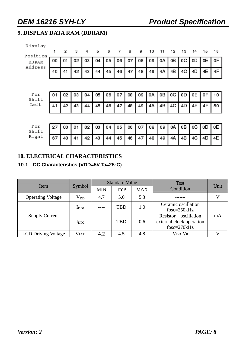### **9. DISPLAY DATA RAM (DDRAM)**

| Display<br>Position      | 1  | 2  | з  | 4  | 5  | 6  | 7  | 8  | 9  | 10 | 11 | 12 | 13 | 14 | 15 | 16 |
|--------------------------|----|----|----|----|----|----|----|----|----|----|----|----|----|----|----|----|
| <b>DD RAM</b><br>Address | 00 | 01 | 02 | 03 | 04 | 05 | 06 | 07 | 08 | 09 | 0A | OВ | 0C | 0D | 0E | 0F |
|                          | 40 | 41 | 42 | 43 | 44 | 45 | 46 | 47 | 48 | 49 | 4A | 4B | 4C | 4D | 4E | 4F |
|                          |    |    |    |    |    |    |    |    |    |    |    |    |    |    |    |    |
| For<br>Shift             | 01 | 02 | 03 | 04 | 05 | 06 | 07 | 08 | 09 | 0A | oВ | 0C | 0D | 0E | 0F | 10 |
| Left                     | 41 | 42 | 43 | 44 | 45 | 46 | 47 | 48 | 49 | 4A | 4B | 4C | 4D | 4E | 4F | 50 |
|                          |    |    |    |    |    |    |    |    |    |    |    |    |    |    |    |    |
| For<br>Shift             | 27 | 00 | 01 | 02 | 03 | 04 | 05 | 06 | 07 | 08 | 09 | 0A | oВ | 0C | 0D | 0E |
| Right                    | 67 | 40 | 41 | 42 | 43 | 44 | 45 | 46 | 47 | 48 | 49 | 4A | 4B | 4C | 4D | 4Ε |

#### **10. ELECTRICAL CHARACTERISTICS**

#### **10-1 DC Characteristics (VDD=5V,Ta=25°C)**

| Item                       |                           |            | <b>Standard Value</b> |            | <b>Test</b>                                                          | Unit |  |
|----------------------------|---------------------------|------------|-----------------------|------------|----------------------------------------------------------------------|------|--|
|                            | Symbol                    | <b>MIN</b> | <b>TYP</b>            | <b>MAX</b> | Condition                                                            |      |  |
| <b>Operating Voltage</b>   | $\rm V_{DD}$              | 4.7        | 5.0                   | 5.3        |                                                                      |      |  |
|                            | $\mathbf{I}_{\text{DD1}}$ |            | TBD                   | 1.0        | Ceramic oscillation<br>$f$ osc=250 $k$ Hz                            |      |  |
| <b>Supply Current</b>      | 1 <sub>DD2</sub>          | $---$      | <b>TBD</b>            | 0.6        | oscillation<br>Resistor<br>external clock operation<br>$fose=270kHz$ | mA   |  |
| <b>LCD Driving Voltage</b> | <b>VLCD</b>               | 4.2        | 4.5                   | 4.8        | $V_{DD}$ - $V_0$                                                     |      |  |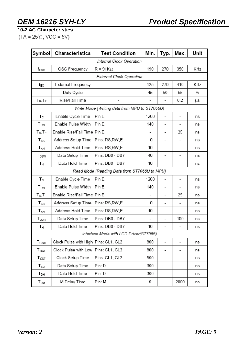**10-2 AC Characteristics** 

 $(TA = 25^{\circ}C, \text{VCC} = 5V)$ 

| Symbol                      | Characteristics                      | <b>Test Condition</b>                         | Min. | Typ.                     | Max.                     | Unit |
|-----------------------------|--------------------------------------|-----------------------------------------------|------|--------------------------|--------------------------|------|
|                             |                                      | Internal Clock Operation                      |      |                          |                          |      |
| $f_{\rm OSC}$               | OSC Frequency                        | $R = 91K\Omega$                               | 190  | 270                      | 350                      | KHz  |
|                             |                                      | External Clock Operation                      |      |                          |                          |      |
| f <sub>ΕΧ</sub>             | External Frequency                   |                                               | 125  | 270                      | 410                      | KHz  |
|                             | Duty Cycle                           |                                               | 45   | 50                       | 55                       | %    |
| $T_R$ , $T_F$               | Rise/Fall Time                       |                                               |      | $\overline{\phantom{a}}$ | 0.2                      | μs   |
|                             |                                      | Write Mode (Writing data from MPU to ST7066U) |      |                          |                          |      |
| Tc                          | Enable Cycle Time                    | Pin E                                         | 1200 | $\blacksquare$           | $\overline{a}$           | ns   |
| T <sub>PW</sub>             | Enable Pulse Width                   | Pin E                                         | 140  | $\overline{\phantom{a}}$ | -                        | ns   |
| $T_R$ , $T_F$               | Enable Rise/Fall Time                | Pin E                                         |      |                          | 25                       | ns   |
| TAS                         | Address Setup Time                   | Pins: RS,RW,E                                 | 0    |                          |                          | ns   |
| TAH                         | Address Hold Time                    | Pins: RS,RW,E                                 | 10   |                          | -                        | ns   |
| T <sub>DSW</sub>            | Data Setup Time                      | Pins: DB0 - DB7                               | 40   |                          | ۰                        | ns   |
| Tн                          | Data Hold Time                       | Pins: DB0 - DB7                               | 10   | -                        |                          | ns   |
|                             |                                      | Read Mode (Reading Data from ST7066U to MPU)  |      |                          |                          |      |
| $T_{\rm C}$                 | Enable Cycle Time                    | Pin E                                         | 1200 |                          | $\overline{a}$           | ns   |
| T <sub>PW</sub>             | Enable Pulse Width                   | Pin E                                         | 140  |                          |                          | ns   |
| $T_R$ , $T_F$               | Enable Rise/Fall Time                | Pin E                                         |      | ٠                        | 25                       | ns   |
| TAS                         | Address Setup Time                   | Pins: RS,RW,E                                 | 0    | -                        | -                        | ns   |
| TAH                         | Address Hold Time                    | Pins: RS,RW,E                                 | 10   | -                        | -                        | ns   |
| T <sub>DDR</sub>            | Data Setup Time                      | Pins: DB0 - DB7                               |      | -                        | 100                      | ns   |
| Tн                          | Data Hold Time                       | Pins: DB0 - DB7                               | 10   |                          |                          | ns   |
|                             |                                      | Interface Mode with LCD Driver(ST7065)        |      |                          |                          |      |
| $T_{\mathsf{CWH}}$          | Clock Pulse with High Pins: CL1, CL2 |                                               | 800  | -                        | $\overline{\phantom{a}}$ | ns   |
| $T_{CWL}$                   | Clock Pulse with Low                 | Pins: CL1, CL2                                | 800  | ٠                        | ۰                        | ns   |
| $\mathsf{T}_{\mathsf{CST}}$ | Clock Setup Time                     | Pins: CL1, CL2                                | 500  | -                        | ۰                        | ns   |
| T <sub>SU</sub>             | Data Setup Time                      | Pin: D                                        | 300  | -                        |                          | ns   |
| Т <sub>рн</sub>             | Data Hold Time                       | Pin: D                                        | 300  | ٠                        | ۰                        | ns   |
| $T_{DM}$                    | M Delay Time                         | Pin: M                                        | 0    | -                        | 2000                     | ns   |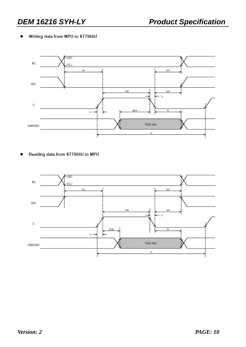#### Writing data from MPU to ST7066U ٠



Reading data from ST7066U to MPU

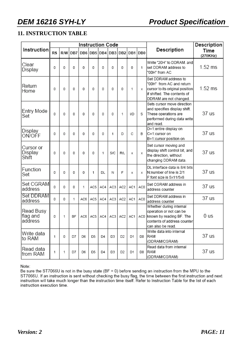#### **11. INSTRUCTION TABLE**

|                                  |           |   |           |                 | <b>Instruction Code</b> |     |     |                 | Description |         |                                                                                                                                              |                  |
|----------------------------------|-----------|---|-----------|-----------------|-------------------------|-----|-----|-----------------|-------------|---------|----------------------------------------------------------------------------------------------------------------------------------------------|------------------|
| <b>Instruction</b>               | <b>RS</b> |   | R/W DB7   | DB <sub>6</sub> |                         |     |     | DB5 DB4 DB3 DB2 |             | DB1 DB0 | Description                                                                                                                                  | Time<br>(270KHz) |
| Clear<br>Display                 | 0         | 0 | 0         | 0               | 0                       | 0   | 0   | 0               | 0           | 1       | Write "20H" to DDRAM. and<br>set DDRAM address to<br>"00H" from AC                                                                           | $1.52$ ms        |
| Return<br>Home                   | 0         | 0 | 0         | 0               | 0                       | 0   | 0   | 0               | 1           | x       | Set DDRAM address to<br>"00H" from AC and return<br>cursor to its original position<br>if shifted. The contents of<br>DDRAM are not changed. | $1.52$ ms        |
| Entry Mode<br>Set                | 0         | 0 | 0         | 0               | 0                       | 0   | 0   | 1               | <b>I/D</b>  | S       | Sets cursor move direction<br>and specifies display shift.<br>These operations are<br>performed during data write<br>and read.               | 37 us            |
| Display<br>ON/OFF                | 0         | 0 | 0         | 0               | 0                       | 0   | 1   | D               | C           | В       | D=1:entire display on<br>C=1:cursor on<br>B=1:cursor position on                                                                             | 37 us            |
| Cursor or<br>Display<br>Shift    | 0         | 0 | 0         | 0               | 0                       | 1   | S/C | <b>R/L</b>      | х           | X       | Set cursor moving and<br>display shift control bit, and<br>the direction, without<br>changing DDRAM data.                                    | 37 us            |
| Function<br>Set                  | 0         | 0 | 0         | 0               | 1                       | DL  | Ν   | F               | х           | x       | DL:interface data is 8/4 bits<br>N:number of line is 2/1<br>F:font size is 5x11/5x8                                                          | 37 us            |
| Set CGRAM<br>address             | $\Omega$  | 0 | 0         | 1               | AC5                     | AC4 | AC3 | AC <sub>2</sub> | AC1         | AC0     | Set CGRAM address in<br>address counter                                                                                                      | 37 us            |
| Set DDRAM<br>address             | 0         | 0 | 1         | AC6             | AC5                     | AC4 | AC3 | AC <sub>2</sub> | AC1         | AC0     | Set DDRAM address in<br>address counter                                                                                                      | 37 us            |
| Read Busy<br>flag and<br>address | 0         | 1 | <b>BF</b> | AC6             | AC5                     | AC4 | AC3 | AC <sub>2</sub> | AC1         | AC0     | Whether during internal<br>operation or not can be<br>known by reading BF. The<br>contents of address counterl<br>can also be read.          | 0 us             |
| Write data<br>to RAM             | 1         | 0 | D7        | D6              | D5                      | D4  | D3  | D2              | D1          | D0      | Write data into internal<br>RAM<br>(DDRAM/CGRAM)                                                                                             | 37 us            |
| Read data<br>from RAM            | 1         | 1 | D7        | D6              | D5                      | D4  | D3  | D2              | D1          | D0      | Read data from internal<br>RAM<br>(DDRAM/CGRAM)                                                                                              | 37 us            |

Note:

Be sure the ST7066U is not in the busy state (BF = 0) before sending an instruction from the MPU to the ST7066U. If an instruction is sent without checking the busy flag, the time between the first instruction and next instruction will take much longer than the instruction time itself. Refer to Instruction Table for the list instruction execution time.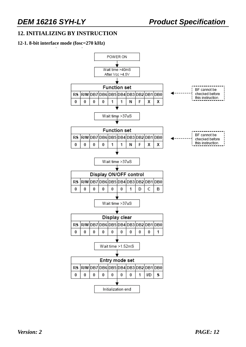#### **12. INITIALIZING BY INSTRUCTION**

#### **12-1. 8-bit interface mode (fosc=270 kHz)**

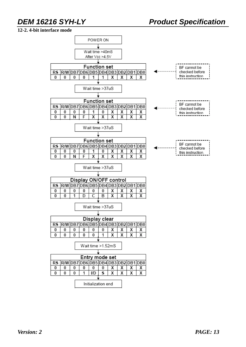#### **12-2. 4-bit interface mode**

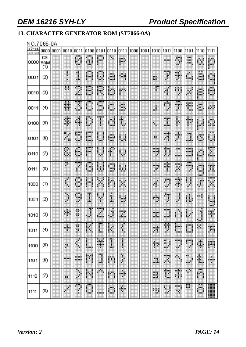### **13. CHARACTER GENERATOR ROM (ST7066-0A)**

#### NO.7066-0A

| $b7 - b4$<br>$b3-b0$ | 0000             | 0001 | 0010  | 0011    | 0100                  | 0101   | 0110    | 0111    | 1000 | 1001 | 1010              | 1011               | 1100               | 1101                    | 1110             | 1111             |
|----------------------|------------------|------|-------|---------|-----------------------|--------|---------|---------|------|------|-------------------|--------------------|--------------------|-------------------------|------------------|------------------|
| 0000                 | СG<br>RAM<br>(1) |      |       | H       | U                     | 臘      |         | W.      |      |      |                   |                    | H                  | mente di<br>XXX<br>W.   | ü.               | D                |
| 0001                 | (2)              |      |       | I       | 關                     | U      | H.      | œ.      |      |      | B                 | ł                  | H.                 | 脚脚                      | ä                | m<br><b>Wide</b> |
| 0010                 | (3)              |      | н     | <br>灩   | B                     | R      | D       | pm      |      |      | m                 | Æ                  | 期                  | H                       | B)               | ш<br>w           |
| 0011                 | (4)              |      | ŧ     | П<br>∰. | ш                     | <br>L. | U.      | ü.<br>. |      |      | H                 | alian y<br>g       | <br>m              | Ħ                       | ă,               | pу.              |
| 0100                 | (5)              |      | ¢     | 躣       | ₿                     | ш      | d       | t       |      |      | ×.                | ı                  | H                  | Ħ                       | ш                | Ö.               |
| 0101                 | (6)              |      | E     | 颐<br>щh | 凲<br>ш.               | ₫      | m.<br>m | ш       |      |      | н                 | 1966)<br>ä,        | ۱                  | m<br>뺴                  | D                | 贃                |
| 0110                 | Ø                |      | S,    | Ġ       | <br>bus.              |        | ŧ       | 剛       |      |      | --<br>49.90<br>U. | Þ<br>ij            | w.<br>.            | .<br>---<br>an a        | H                | E                |
| 0111                 | (8)              |      | ē     | j       | <b>SHI</b><br>ш       | Ħ      | W<br>ш  | W       |      |      | œ<br>P.           | đ,<br>÷            | Ħ                  | <b>BBB</b><br>ones<br>ð | ang p<br>ш<br>w. | Ŧ.               |
| 1000                 | (1)              |      | ŧ     | U       | ш                     | BF.    | m       | 翢       |      |      | ¢                 | O                  | H.                 | 闀<br>¢                  | ₽                | <br>W            |
| 1001                 | (2)              |      | ₽     | Ш.<br>۰ | I                     |        | Ĩ,      | щ<br>w. |      |      | ada.<br>×к        | Đņ.<br>J.          | J.                 | Ш                       | m.               | щ<br>w.          |
| 1010                 | (3)              |      | H.    | 闎<br>ш  | $\hat{\mathbf{\phi}}$ | H      | Ë       | m<br>W. |      |      | <br>W.            | <br>.              |                    | ₿                       | J                | H                |
| 1011                 | (4)              |      | ۰     | 韻<br>٠  |                       |        |         |         |      |      | 蠅                 | 辯                  | <br>.              | mag<br>                 | ш                | Ŧ.               |
| 1100                 | (5)              |      | ×     | 4       | ▦                     | ¥      | I       |         |      |      | Ŧ.                | œ<br>H<br>ж<br>. . | <br>œ              | .<br>×                  | ij,              | m                |
| 1101                 | (6)              |      | 10000 | <br>--  | Ŷ.                    | J      | ш       | Ñ       |      |      | ä.                | <b>Hours</b><br>繝  | ۰<br>٩             | ш<br>Ŧ<br>œ             | H                | ×<br>--<br>×     |
| 1110                 | Ø                |      | 服     | ٩<br>¢  | M                     | ×      | m       | ۳       |      |      | m<br>--           | n                  | ,,,,,<br>I.<br>ł   | ۰<br>Ÿ.                 | <br>ņп,          |                  |
| 1111                 | (8)              |      |       | í       | m.                    |        | 角,<br>٩ | M       |      |      | 鄦                 | V                  | <b>HOOKS</b><br>H. | E                       | Ü.               | W                |